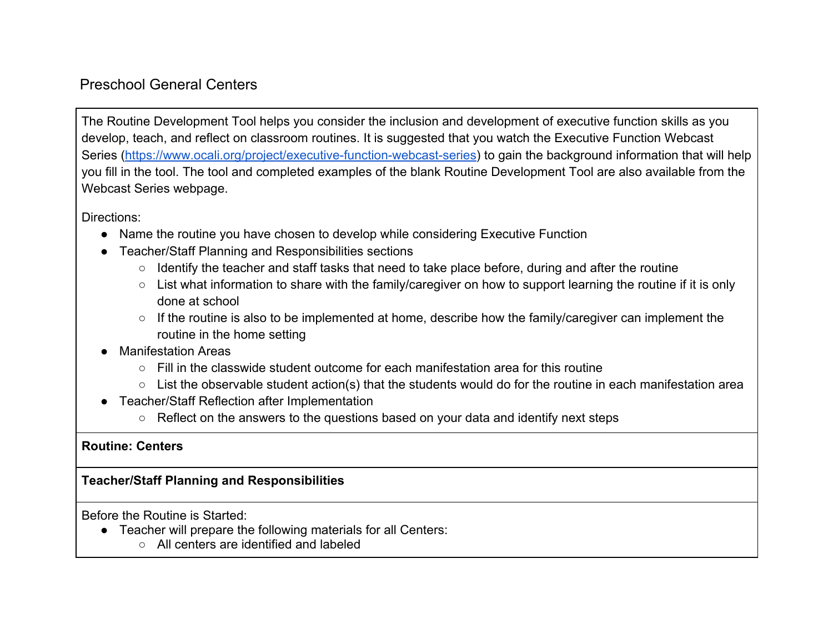## Preschool General Centers

The Routine Development Tool helps you consider the inclusion and development of executive function skills as you develop, teach, and reflect on classroom routines. It is suggested that you watch the Executive Function Webcast Series [\(https://www.ocali.org/project/executive-function-webcast-series\)](https://www.ocali.org/project/executive-function-webcast-series) to gain the background information that will help you fill in the tool. The tool and completed examples of the blank Routine Development Tool are also available from the Webcast Series webpage.

Directions:

- Name the routine you have chosen to develop while considering Executive Function
- Teacher/Staff Planning and Responsibilities sections
	- Identify the teacher and staff tasks that need to take place before, during and after the routine
	- List what information to share with the family/caregiver on how to support learning the routine if it is only done at school
	- If the routine is also to be implemented at home, describe how the family/caregiver can implement the routine in the home setting
- Manifestation Areas
	- $\circ$  Fill in the classwide student outcome for each manifestation area for this routine
	- List the observable student action(s) that the students would do for the routine in each manifestation area
- Teacher/Staff Reflection after Implementation
	- Reflect on the answers to the questions based on your data and identify next steps

## **Routine: Centers**

## **Teacher/Staff Planning and Responsibilities**

Before the Routine is Started:

- Teacher will prepare the following materials for all Centers:
	- All centers are identified and labeled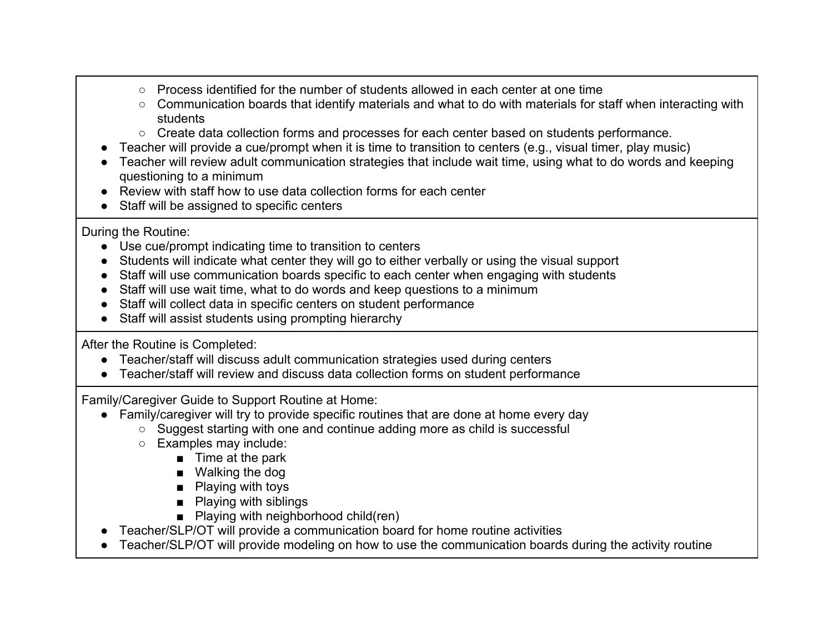- Process identified for the number of students allowed in each center at one time
- Communication boards that identify materials and what to do with materials for staff when interacting with students
- Create data collection forms and processes for each center based on students performance.
- Teacher will provide a cue/prompt when it is time to transition to centers (e.g., visual timer, play music)
- Teacher will review adult communication strategies that include wait time, using what to do words and keeping questioning to a minimum
- Review with staff how to use data collection forms for each center
- Staff will be assigned to specific centers

During the Routine:

- Use cue/prompt indicating time to transition to centers
- Students will indicate what center they will go to either verbally or using the visual support
- Staff will use communication boards specific to each center when engaging with students
- Staff will use wait time, what to do words and keep questions to a minimum
- Staff will collect data in specific centers on student performance
- Staff will assist students using prompting hierarchy

After the Routine is Completed:

- Teacher/staff will discuss adult communication strategies used during centers
- Teacher/staff will review and discuss data collection forms on student performance

Family/Caregiver Guide to Support Routine at Home:

- Family/caregiver will try to provide specific routines that are done at home every day
	- Suggest starting with one and continue adding more as child is successful
	- Examples may include:
		- Time at the park
		- Walking the dog
		- Playing with toys
		- Playing with siblings
		- Playing with neighborhood child(ren)
- Teacher/SLP/OT will provide a communication board for home routine activities
- Teacher/SLP/OT will provide modeling on how to use the communication boards during the activity routine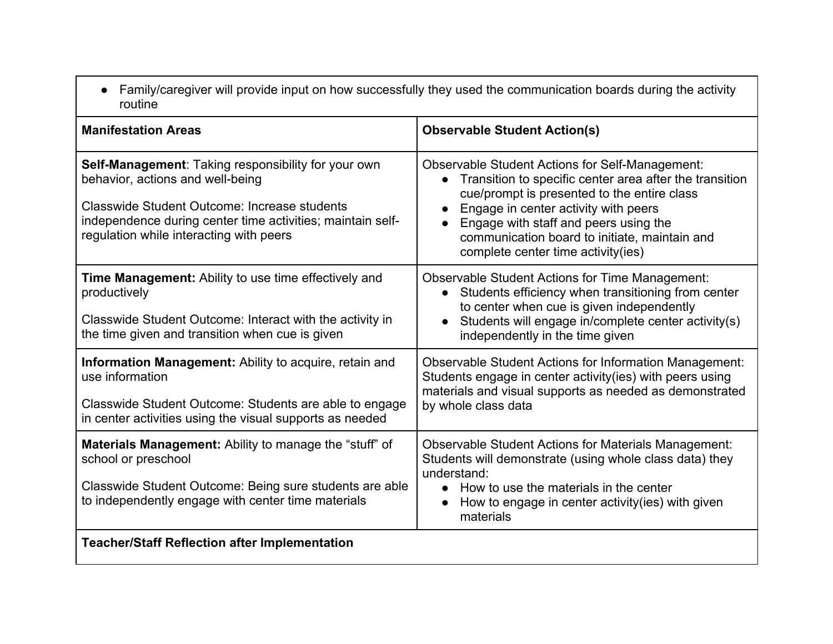● Family/caregiver will provide input on how successfully they used the communication boards during the activity routine

| <b>Manifestation Areas</b>                                                                                                                                                                                                                                     | <b>Observable Student Action(s)</b>                                                                                                                                                                                                                                                                                                                   |
|----------------------------------------------------------------------------------------------------------------------------------------------------------------------------------------------------------------------------------------------------------------|-------------------------------------------------------------------------------------------------------------------------------------------------------------------------------------------------------------------------------------------------------------------------------------------------------------------------------------------------------|
| <b>Self-Management: Taking responsibility for your own</b><br>behavior, actions and well-being<br><b>Classwide Student Outcome: Increase students</b><br>independence during center time activities; maintain self-<br>regulation while interacting with peers | <b>Observable Student Actions for Self-Management:</b><br>Transition to specific center area after the transition<br>cue/prompt is presented to the entire class<br>Engage in center activity with peers<br>Engage with staff and peers using the<br>$\bullet$<br>communication board to initiate, maintain and<br>complete center time activity(ies) |
| <b>Time Management:</b> Ability to use time effectively and<br>productively<br>Classwide Student Outcome: Interact with the activity in<br>the time given and transition when cue is given                                                                     | <b>Observable Student Actions for Time Management:</b><br>Students efficiency when transitioning from center<br>to center when cue is given independently<br>Students will engage in/complete center activity(s)<br>independently in the time given                                                                                                   |
| Information Management: Ability to acquire, retain and<br>use information<br>Classwide Student Outcome: Students are able to engage<br>in center activities using the visual supports as needed                                                                | <b>Observable Student Actions for Information Management:</b><br>Students engage in center activity(ies) with peers using<br>materials and visual supports as needed as demonstrated<br>by whole class data                                                                                                                                           |
| <b>Materials Management:</b> Ability to manage the "stuff" of<br>school or preschool<br>Classwide Student Outcome: Being sure students are able<br>to independently engage with center time materials                                                          | <b>Observable Student Actions for Materials Management:</b><br>Students will demonstrate (using whole class data) they<br>understand:<br>How to use the materials in the center<br>$\bullet$<br>How to engage in center activity(ies) with given<br>materials                                                                                         |
| <b>Teacher/Staff Reflection after Implementation</b>                                                                                                                                                                                                           |                                                                                                                                                                                                                                                                                                                                                       |